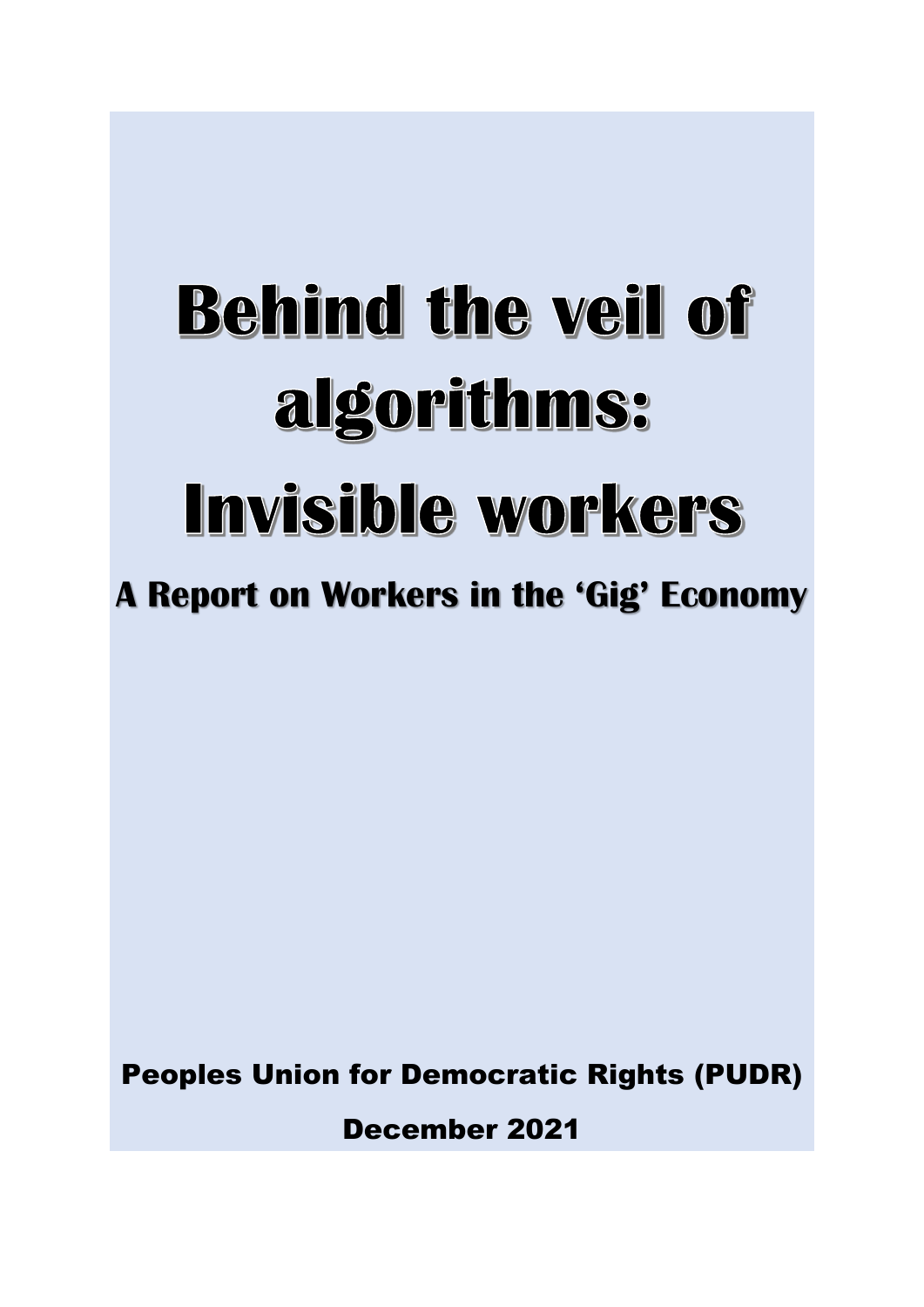# **Behind the veil of** algorithms: Invisible workers

**A Report on Workers in the 'Gig' Economy**

Peoples Union for Democratic Rights (PUDR)

December 2021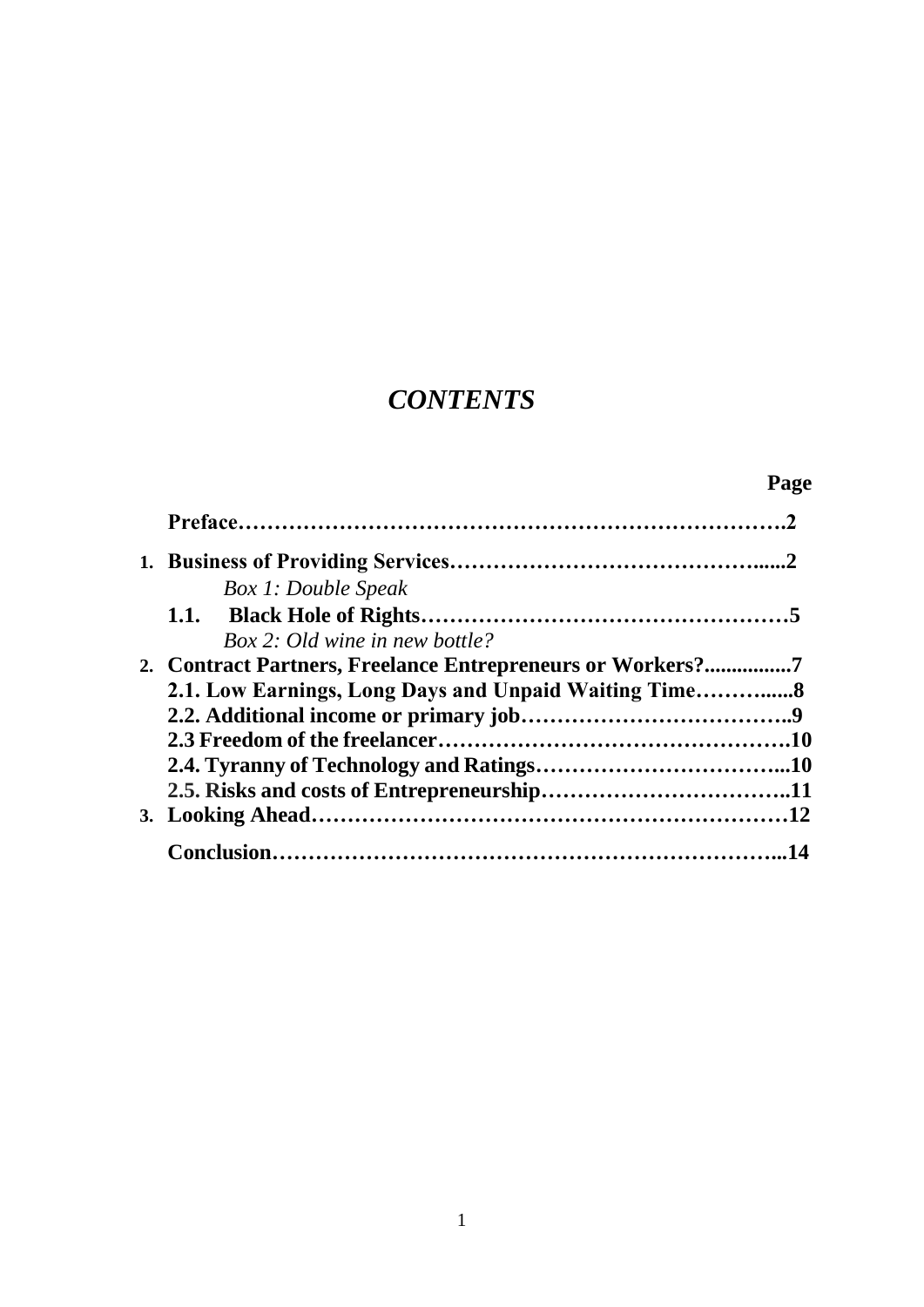# *CONTENTS*

|  |                                                            | Page |
|--|------------------------------------------------------------|------|
|  |                                                            |      |
|  |                                                            |      |
|  | <b>Box 1: Double Speak</b>                                 |      |
|  |                                                            |      |
|  | Box 2: Old wine in new bottle?                             |      |
|  | 2. Contract Partners, Freelance Entrepreneurs or Workers?7 |      |
|  | 2.1. Low Earnings, Long Days and Unpaid Waiting Time8      |      |
|  |                                                            |      |
|  |                                                            |      |
|  |                                                            |      |
|  |                                                            |      |
|  |                                                            |      |
|  |                                                            |      |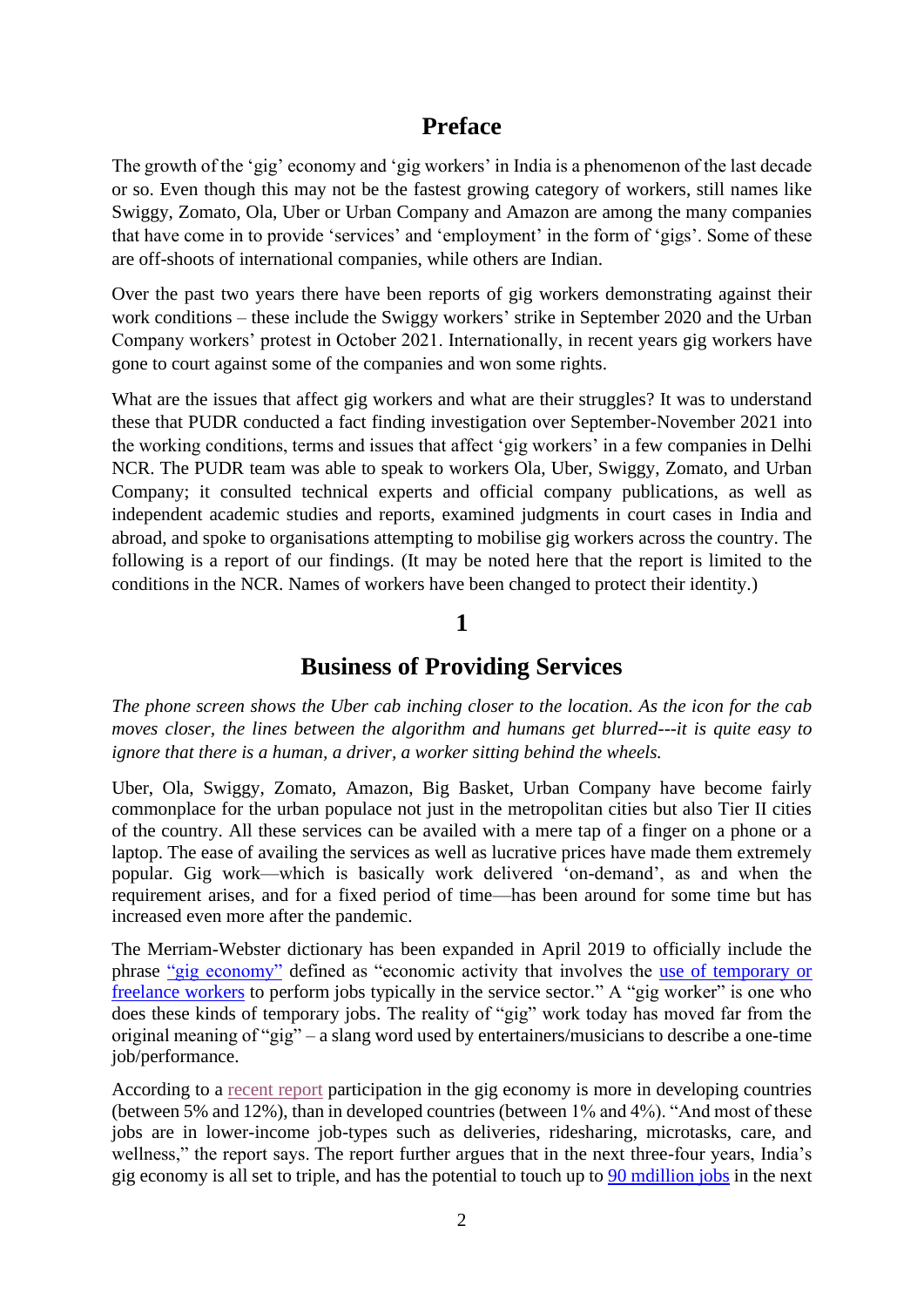# **Preface**

The growth of the 'gig' economy and 'gig workers' in India is a phenomenon of the last decade or so. Even though this may not be the fastest growing category of workers, still names like Swiggy, Zomato, Ola, Uber or Urban Company and Amazon are among the many companies that have come in to provide 'services' and 'employment' in the form of 'gigs'. Some of these are off-shoots of international companies, while others are Indian.

Over the past two years there have been reports of gig workers demonstrating against their work conditions – these include the Swiggy workers' strike in September 2020 and the Urban Company workers' protest in October 2021. Internationally, in recent years gig workers have gone to court against some of the companies and won some rights.

What are the issues that affect gig workers and what are their struggles? It was to understand these that PUDR conducted a fact finding investigation over September-November 2021 into the working conditions, terms and issues that affect 'gig workers' in a few companies in Delhi NCR. The PUDR team was able to speak to workers Ola, Uber, Swiggy, Zomato, and Urban Company; it consulted technical experts and official company publications, as well as independent academic studies and reports, examined judgments in court cases in India and abroad, and spoke to organisations attempting to mobilise gig workers across the country. The following is a report of our findings. (It may be noted here that the report is limited to the conditions in the NCR. Names of workers have been changed to protect their identity.)

#### **1**

# **Business of Providing Services**

*The phone screen shows the Uber cab inching closer to the location. As the icon for the cab moves closer, the lines between the algorithm and humans get blurred---it is quite easy to ignore that there is a human, a driver, a worker sitting behind the wheels.*

Uber, Ola, Swiggy, Zomato, Amazon, Big Basket, Urban Company have become fairly commonplace for the urban populace not just in the metropolitan cities but also Tier II cities of the country. All these services can be availed with a mere tap of a finger on a phone or a laptop. The ease of availing the services as well as lucrative prices have made them extremely popular. Gig work—which is basically work delivered 'on-demand', as and when the requirement arises, and for a fixed period of time—has been around for some time but has increased even more after the pandemic.

The Merriam-Webster dictionary has been expanded in April 2019 to officially include the phrase ["gig economy"](https://www.merriam-webster.com/words-at-play/new-words-in-the-dictionary-april-2019) defined as "economic activity that involves the [use of temporary or](https://www.merriam-webster.com/dictionary/gig%20economy?utm_campaign=sd&utm_medium=serp&utm_source=jsonld)  [freelance workers](https://www.merriam-webster.com/dictionary/gig%20economy?utm_campaign=sd&utm_medium=serp&utm_source=jsonld) to perform jobs typically in the service sector." A "gig worker" is one who does these kinds of temporary jobs. The reality of "gig" work today has moved far from the original meaning of "gig" – a slang word used by entertainers/musicians to describe a one-time job/performance.

According to a [recent report](https://www.fortuneindia.com/macro/the-gig-economy-and-indias-changing-workforce/105359) participation in the gig economy is more in developing countries (between 5% and 12%), than in developed countries (between 1% and 4%). "And most of these jobs are in lower-income job-types such as deliveries, ridesharing, microtasks, care, and wellness," the report says. The report further argues that in the next three-four years, India's gig economy is all set to triple, and has the potential to touch up to [90 mdillion jobs](https://www.livemint.com/news/india/gig-economy-may-service-90-mn-jobs-in-non-farm-sector-11617098463776.html) in the next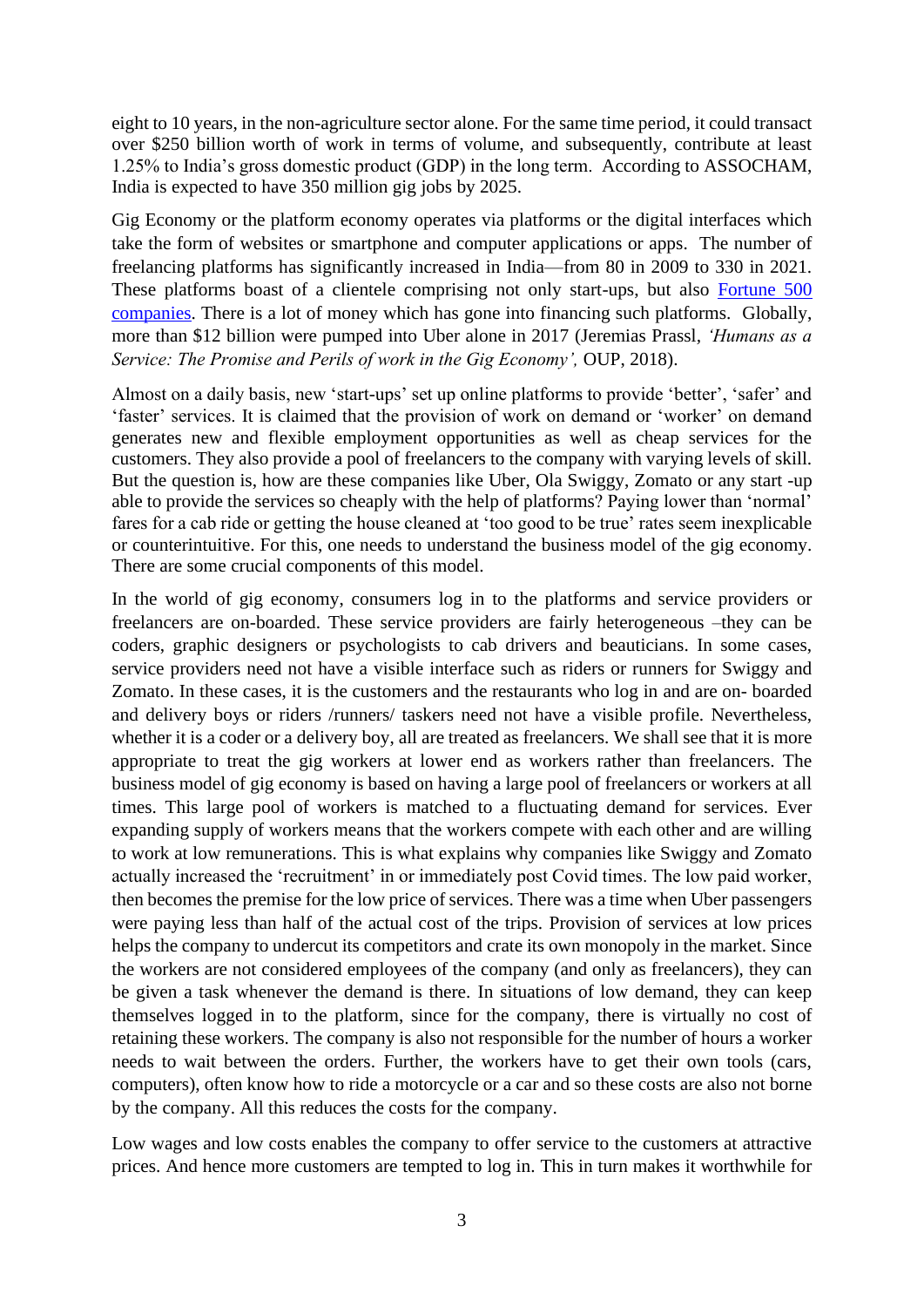eight to 10 years, in the non-agriculture sector alone. For the same time period, it could transact over \$250 billion worth of work in terms of volume, and subsequently, contribute at least 1.25% to India's gross domestic product (GDP) in the long term. According to ASSOCHAM, India is expected to have 350 million gig jobs by 2025.

Gig Economy or the platform economy operates via platforms or the digital interfaces which take the form of websites or smartphone and computer applications or apps. The number of freelancing platforms has significantly increased in India—from 80 in 2009 to 330 in 2021. These platforms boast of a clientele comprising not only start-ups, but also [Fortune 500](https://www.ibef.org/blogs/emergence-of-india-s-gig-economy)  [companies.](https://www.ibef.org/blogs/emergence-of-india-s-gig-economy) There is a lot of money which has gone into financing such platforms. Globally, more than \$12 billion were pumped into Uber alone in 2017 (Jeremias Prassl*, 'Humans as a Service: The Promise and Perils of work in the Gig Economy', OUP, 2018).* 

Almost on a daily basis, new 'start-ups' set up online platforms to provide 'better', 'safer' and 'faster' services. It is claimed that the provision of work on demand or 'worker' on demand generates new and flexible employment opportunities as well as cheap services for the customers. They also provide a pool of freelancers to the company with varying levels of skill. But the question is, how are these companies like Uber, Ola Swiggy, Zomato or any start -up able to provide the services so cheaply with the help of platforms? Paying lower than 'normal' fares for a cab ride or getting the house cleaned at 'too good to be true' rates seem inexplicable or counterintuitive. For this, one needs to understand the business model of the gig economy. There are some crucial components of this model.

In the world of gig economy, consumers log in to the platforms and service providers or freelancers are on-boarded. These service providers are fairly heterogeneous –they can be coders, graphic designers or psychologists to cab drivers and beauticians. In some cases, service providers need not have a visible interface such as riders or runners for Swiggy and Zomato. In these cases, it is the customers and the restaurants who log in and are on- boarded and delivery boys or riders /runners/ taskers need not have a visible profile. Nevertheless, whether it is a coder or a delivery boy, all are treated as freelancers. We shall see that it is more appropriate to treat the gig workers at lower end as workers rather than freelancers. The business model of gig economy is based on having a large pool of freelancers or workers at all times. This large pool of workers is matched to a fluctuating demand for services. Ever expanding supply of workers means that the workers compete with each other and are willing to work at low remunerations. This is what explains why companies like Swiggy and Zomato actually increased the 'recruitment' in or immediately post Covid times. The low paid worker, then becomes the premise for the low price of services. There was a time when Uber passengers were paying less than half of the actual cost of the trips. Provision of services at low prices helps the company to undercut its competitors and crate its own monopoly in the market. Since the workers are not considered employees of the company (and only as freelancers), they can be given a task whenever the demand is there. In situations of low demand, they can keep themselves logged in to the platform, since for the company, there is virtually no cost of retaining these workers. The company is also not responsible for the number of hours a worker needs to wait between the orders. Further, the workers have to get their own tools (cars, computers), often know how to ride a motorcycle or a car and so these costs are also not borne by the company. All this reduces the costs for the company.

Low wages and low costs enables the company to offer service to the customers at attractive prices. And hence more customers are tempted to log in. This in turn makes it worthwhile for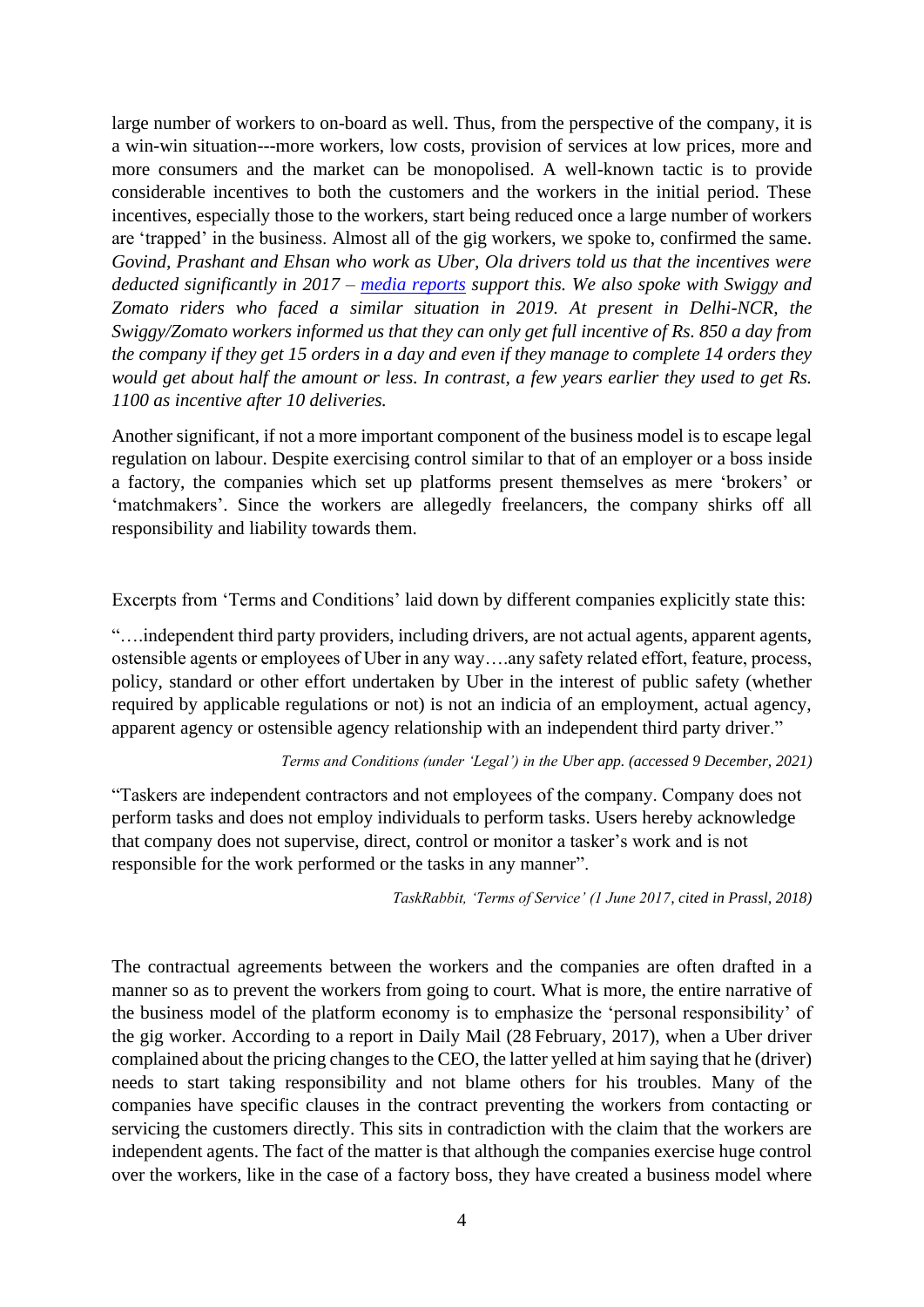large number of workers to on-board as well. Thus, from the perspective of the company, it is a win-win situation---more workers, low costs, provision of services at low prices, more and more consumers and the market can be monopolised. A well-known tactic is to provide considerable incentives to both the customers and the workers in the initial period. These incentives, especially those to the workers, start being reduced once a large number of workers are 'trapped' in the business. Almost all of the gig workers, we spoke to, confirmed the same. *Govind, Prashant and Ehsan who work as Uber, Ola drivers told us that the incentives were deducted significantly in 2017 – [media reports](https://timesofindia.indiatimes.com/business/india-business/uber-ola-slash-driver-sops-by-40-in-march-quarter/articleshow/59379390.cms) support this. We also spoke with Swiggy and Zomato riders who faced a similar situation in 2019. At present in Delhi-NCR, the Swiggy/Zomato workers informed us that they can only get full incentive of Rs. 850 a day from the company if they get 15 orders in a day and even if they manage to complete 14 orders they would get about half the amount or less. In contrast, a few years earlier they used to get Rs. 1100 as incentive after 10 deliveries.*

Another significant, if not a more important component of the business model is to escape legal regulation on labour. Despite exercising control similar to that of an employer or a boss inside a factory, the companies which set up platforms present themselves as mere 'brokers' or 'matchmakers'. Since the workers are allegedly freelancers, the company shirks off all responsibility and liability towards them.

Excerpts from 'Terms and Conditions' laid down by different companies explicitly state this:

"….independent third party providers, including drivers, are not actual agents, apparent agents, ostensible agents or employees of Uber in any way….any safety related effort, feature, process, policy, standard or other effort undertaken by Uber in the interest of public safety (whether required by applicable regulations or not) is not an indicia of an employment, actual agency, apparent agency or ostensible agency relationship with an independent third party driver."

#### *Terms and Conditions (under 'Legal') in the Uber app. (accessed 9 December, 2021)*

"Taskers are independent contractors and not employees of the company. Company does not perform tasks and does not employ individuals to perform tasks. Users hereby acknowledge that company does not supervise, direct, control or monitor a tasker's work and is not responsible for the work performed or the tasks in any manner".

*TaskRabbit, 'Terms of Service' (1 June 2017, cited in Prassl, 2018)*

The contractual agreements between the workers and the companies are often drafted in a manner so as to prevent the workers from going to court. What is more, the entire narrative of the business model of the platform economy is to emphasize the 'personal responsibility' of the gig worker. According to a report in Daily Mail (28 February, 2017), when a Uber driver complained about the pricing changes to the CEO, the latter yelled at him saying that he (driver) needs to start taking responsibility and not blame others for his troubles. Many of the companies have specific clauses in the contract preventing the workers from contacting or servicing the customers directly. This sits in contradiction with the claim that the workers are independent agents. The fact of the matter is that although the companies exercise huge control over the workers, like in the case of a factory boss, they have created a business model where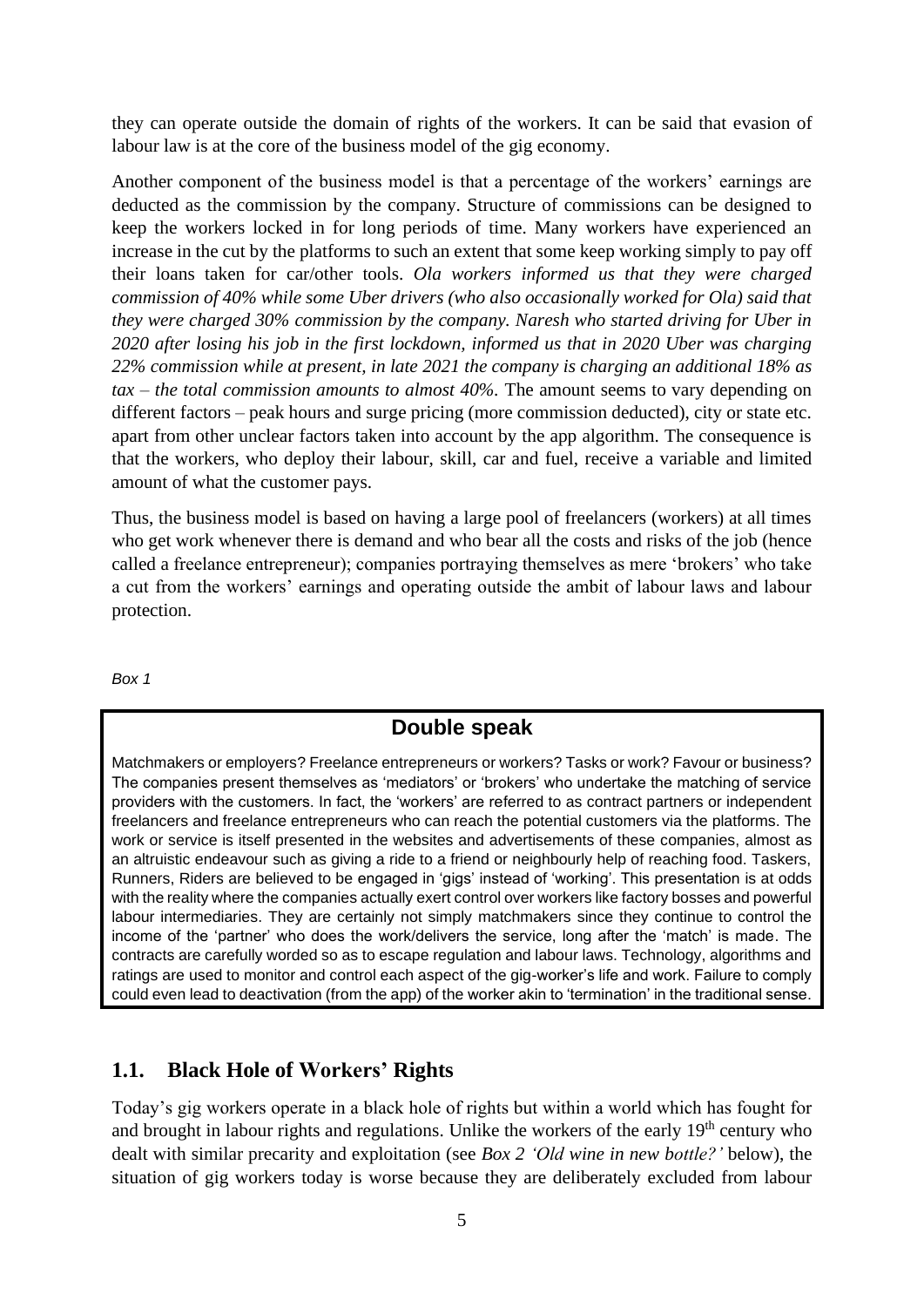they can operate outside the domain of rights of the workers. It can be said that evasion of labour law is at the core of the business model of the gig economy.

Another component of the business model is that a percentage of the workers' earnings are deducted as the commission by the company. Structure of commissions can be designed to keep the workers locked in for long periods of time. Many workers have experienced an increase in the cut by the platforms to such an extent that some keep working simply to pay off their loans taken for car/other tools. *Ola workers informed us that they were charged commission of 40% while some Uber drivers (who also occasionally worked for Ola) said that they were charged 30% commission by the company. Naresh who started driving for Uber in 2020 after losing his job in the first lockdown, informed us that in 2020 Uber was charging 22% commission while at present, in late 2021 the company is charging an additional 18% as tax – the total commission amounts to almost 40%.* The amount seems to vary depending on different factors – peak hours and surge pricing (more commission deducted), city or state etc. apart from other unclear factors taken into account by the app algorithm. The consequence is that the workers, who deploy their labour, skill, car and fuel, receive a variable and limited amount of what the customer pays.

Thus, the business model is based on having a large pool of freelancers (workers) at all times who get work whenever there is demand and who bear all the costs and risks of the job (hence called a freelance entrepreneur); companies portraying themselves as mere 'brokers' who take a cut from the workers' earnings and operating outside the ambit of labour laws and labour protection.

*Box 1*

#### **Double speak**

Matchmakers or employers? Freelance entrepreneurs or workers? Tasks or work? Favour or business? The companies present themselves as 'mediators' or 'brokers' who undertake the matching of service providers with the customers. In fact, the 'workers' are referred to as contract partners or independent freelancers and freelance entrepreneurs who can reach the potential customers via the platforms. The work or service is itself presented in the websites and advertisements of these companies, almost as an altruistic endeavour such as giving a ride to a friend or neighbourly help of reaching food. Taskers, Runners, Riders are believed to be engaged in 'gigs' instead of 'working'. This presentation is at odds with the reality where the companies actually exert control over workers like factory bosses and powerful labour intermediaries. They are certainly not simply matchmakers since they continue to control the income of the 'partner' who does the work/delivers the service, long after the 'match' is made. The contracts are carefully worded so as to escape regulation and labour laws. Technology, algorithms and ratings are used to monitor and control each aspect of the gig-worker's life and work. Failure to comply could even lead to deactivation (from the app) of the worker akin to 'termination' in the traditional sense.

#### **1.1. Black Hole of Workers' Rights**

Today's gig workers operate in a black hole of rights but within a world which has fought for and brought in labour rights and regulations. Unlike the workers of the early  $19<sup>th</sup>$  century who dealt with similar precarity and exploitation (see *Box 2 'Old wine in new bottle?'* below), the situation of gig workers today is worse because they are deliberately excluded from labour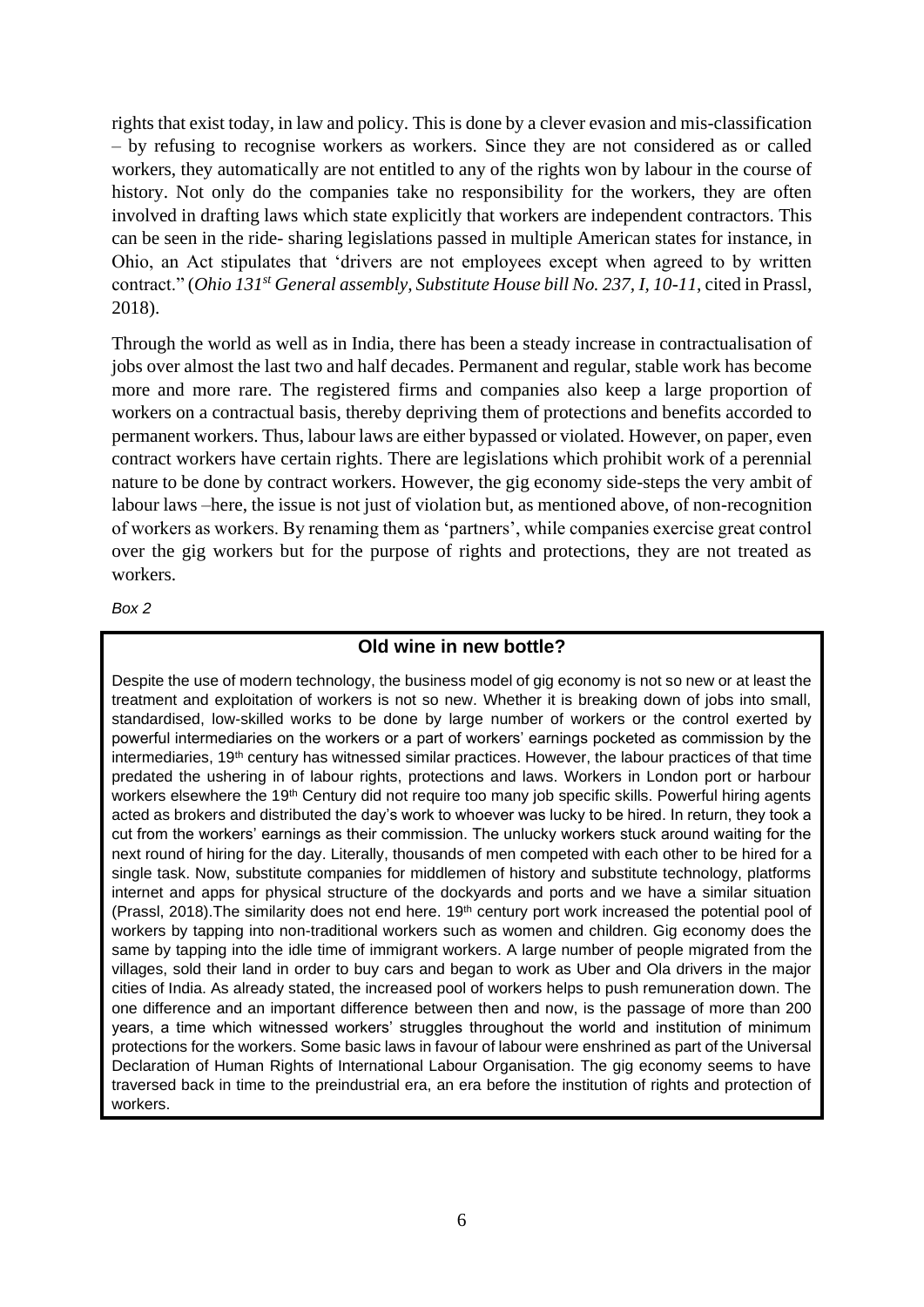rights that exist today, in law and policy. This is done by a clever evasion and mis-classification – by refusing to recognise workers as workers. Since they are not considered as or called workers, they automatically are not entitled to any of the rights won by labour in the course of history. Not only do the companies take no responsibility for the workers, they are often involved in drafting laws which state explicitly that workers are independent contractors. This can be seen in the ride- sharing legislations passed in multiple American states for instance, in Ohio, an Act stipulates that 'drivers are not employees except when agreed to by written contract." (*Ohio 131st General assembly, Substitute House bill No. 237, I, 10-11*, cited in Prassl, 2018).

Through the world as well as in India, there has been a steady increase in contractualisation of jobs over almost the last two and half decades. Permanent and regular, stable work has become more and more rare. The registered firms and companies also keep a large proportion of workers on a contractual basis, thereby depriving them of protections and benefits accorded to permanent workers. Thus, labour laws are either bypassed or violated. However, on paper, even contract workers have certain rights. There are legislations which prohibit work of a perennial nature to be done by contract workers. However, the gig economy side-steps the very ambit of labour laws –here, the issue is not just of violation but, as mentioned above, of non-recognition of workers as workers. By renaming them as 'partners', while companies exercise great control over the gig workers but for the purpose of rights and protections, they are not treated as workers.

*Box 2*

#### **Old wine in new bottle?**

Despite the use of modern technology, the business model of gig economy is not so new or at least the treatment and exploitation of workers is not so new. Whether it is breaking down of jobs into small, standardised, low-skilled works to be done by large number of workers or the control exerted by powerful intermediaries on the workers or a part of workers' earnings pocketed as commission by the intermediaries, 19<sup>th</sup> century has witnessed similar practices. However, the labour practices of that time predated the ushering in of labour rights, protections and laws. Workers in London port or harbour workers elsewhere the 19<sup>th</sup> Century did not require too many job specific skills. Powerful hiring agents acted as brokers and distributed the day's work to whoever was lucky to be hired. In return, they took a cut from the workers' earnings as their commission. The unlucky workers stuck around waiting for the next round of hiring for the day. Literally, thousands of men competed with each other to be hired for a single task. Now, substitute companies for middlemen of history and substitute technology, platforms internet and apps for physical structure of the dockyards and ports and we have a similar situation (Prassl, 2018). The similarity does not end here. 19<sup>th</sup> century port work increased the potential pool of workers by tapping into non-traditional workers such as women and children. Gig economy does the same by tapping into the idle time of immigrant workers. A large number of people migrated from the villages, sold their land in order to buy cars and began to work as Uber and Ola drivers in the major cities of India. As already stated, the increased pool of workers helps to push remuneration down. The one difference and an important difference between then and now, is the passage of more than 200 years, a time which witnessed workers' struggles throughout the world and institution of minimum protections for the workers. Some basic laws in favour of labour were enshrined as part of the Universal Declaration of Human Rights of International Labour Organisation. The gig economy seems to have traversed back in time to the preindustrial era, an era before the institution of rights and protection of workers.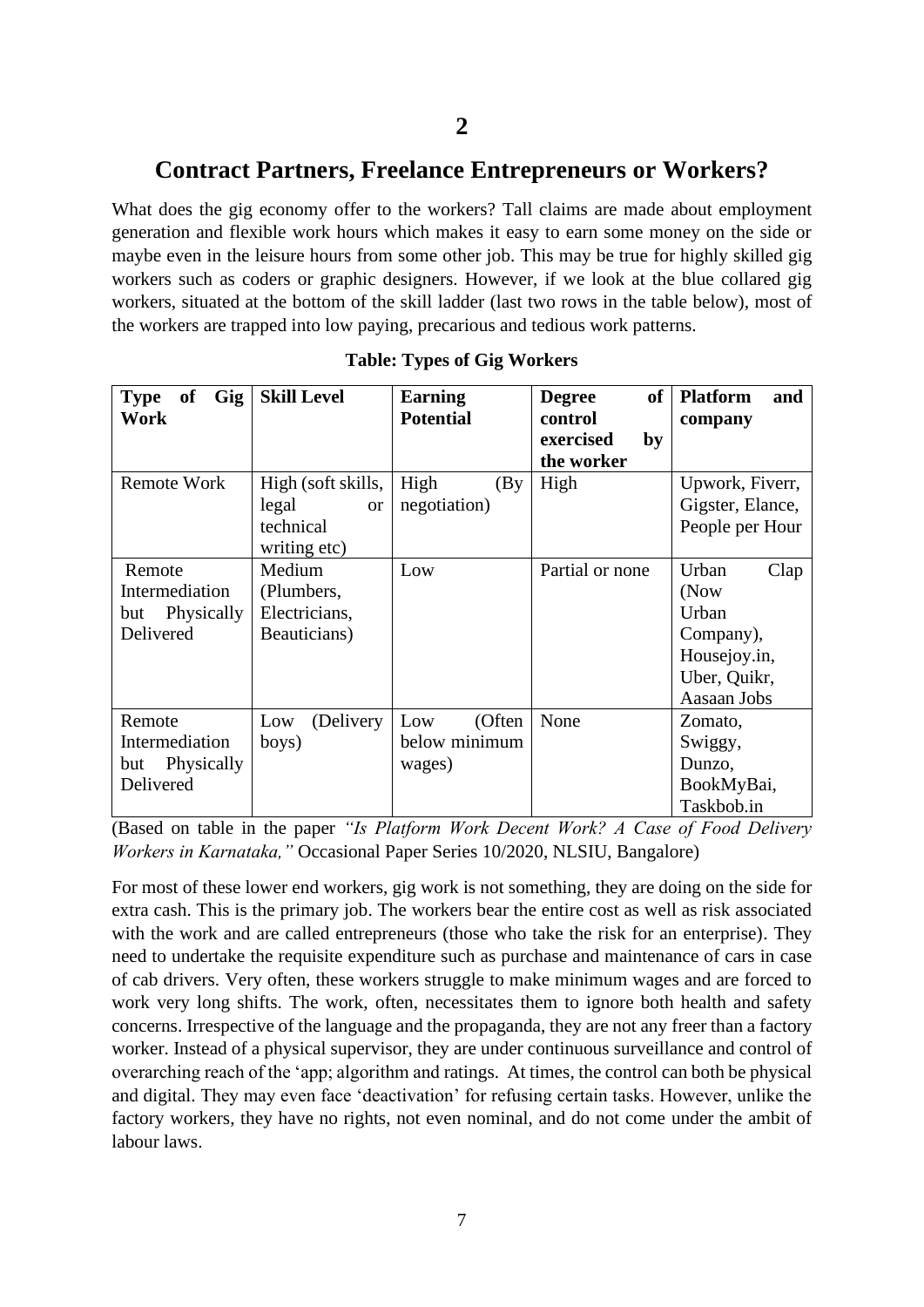# **Contract Partners, Freelance Entrepreneurs or Workers?**

What does the gig economy offer to the workers? Tall claims are made about employment generation and flexible work hours which makes it easy to earn some money on the side or maybe even in the leisure hours from some other job. This may be true for highly skilled gig workers such as coders or graphic designers. However, if we look at the blue collared gig workers, situated at the bottom of the skill ladder (last two rows in the table below), most of the workers are trapped into low paying, precarious and tedious work patterns.

| Gig<br><b>Type</b><br><b>of</b><br>Work                    | <b>Skill Level</b>                                                    | <b>Earning</b><br><b>Potential</b>       | <b>of</b><br><b>Degree</b><br>control | <b>Platform</b><br>and<br>company                                                          |
|------------------------------------------------------------|-----------------------------------------------------------------------|------------------------------------------|---------------------------------------|--------------------------------------------------------------------------------------------|
|                                                            |                                                                       |                                          | exercised<br>by                       |                                                                                            |
| Remote Work                                                | High (soft skills,<br>legal<br><b>or</b><br>technical<br>writing etc) | High<br>(By)<br>negotiation)             | the worker<br>High                    | Upwork, Fiverr,<br>Gigster, Elance,<br>People per Hour                                     |
| Remote<br>Intermediation<br>Physically<br>but<br>Delivered | Medium<br>(Plumbers,<br>Electricians,<br>Beauticians)                 | Low                                      | Partial or none                       | Urban<br>Clap<br>(Now<br>Urban<br>Company),<br>Housejoy.in,<br>Uber, Quikr,<br>Aasaan Jobs |
| Remote<br>Intermediation<br>Physically<br>but<br>Delivered | Low<br>(Delivery)<br>boys)                                            | Low<br>(Often<br>below minimum<br>wages) | None                                  | Zomato,<br>Swiggy,<br>Dunzo,<br>BookMyBai,<br>Taskbob.in                                   |

|  |  | <b>Table: Types of Gig Workers</b> |
|--|--|------------------------------------|
|--|--|------------------------------------|

(Based on table in the paper *"Is Platform Work Decent Work? A Case of Food Delivery Workers in Karnataka,"* Occasional Paper Series 10/2020, NLSIU, Bangalore)

For most of these lower end workers, gig work is not something, they are doing on the side for extra cash. This is the primary job. The workers bear the entire cost as well as risk associated with the work and are called entrepreneurs (those who take the risk for an enterprise). They need to undertake the requisite expenditure such as purchase and maintenance of cars in case of cab drivers. Very often, these workers struggle to make minimum wages and are forced to work very long shifts. The work, often, necessitates them to ignore both health and safety concerns. Irrespective of the language and the propaganda, they are not any freer than a factory worker. Instead of a physical supervisor, they are under continuous surveillance and control of overarching reach of the 'app; algorithm and ratings. At times, the control can both be physical and digital. They may even face 'deactivation' for refusing certain tasks. However, unlike the factory workers, they have no rights, not even nominal, and do not come under the ambit of labour laws.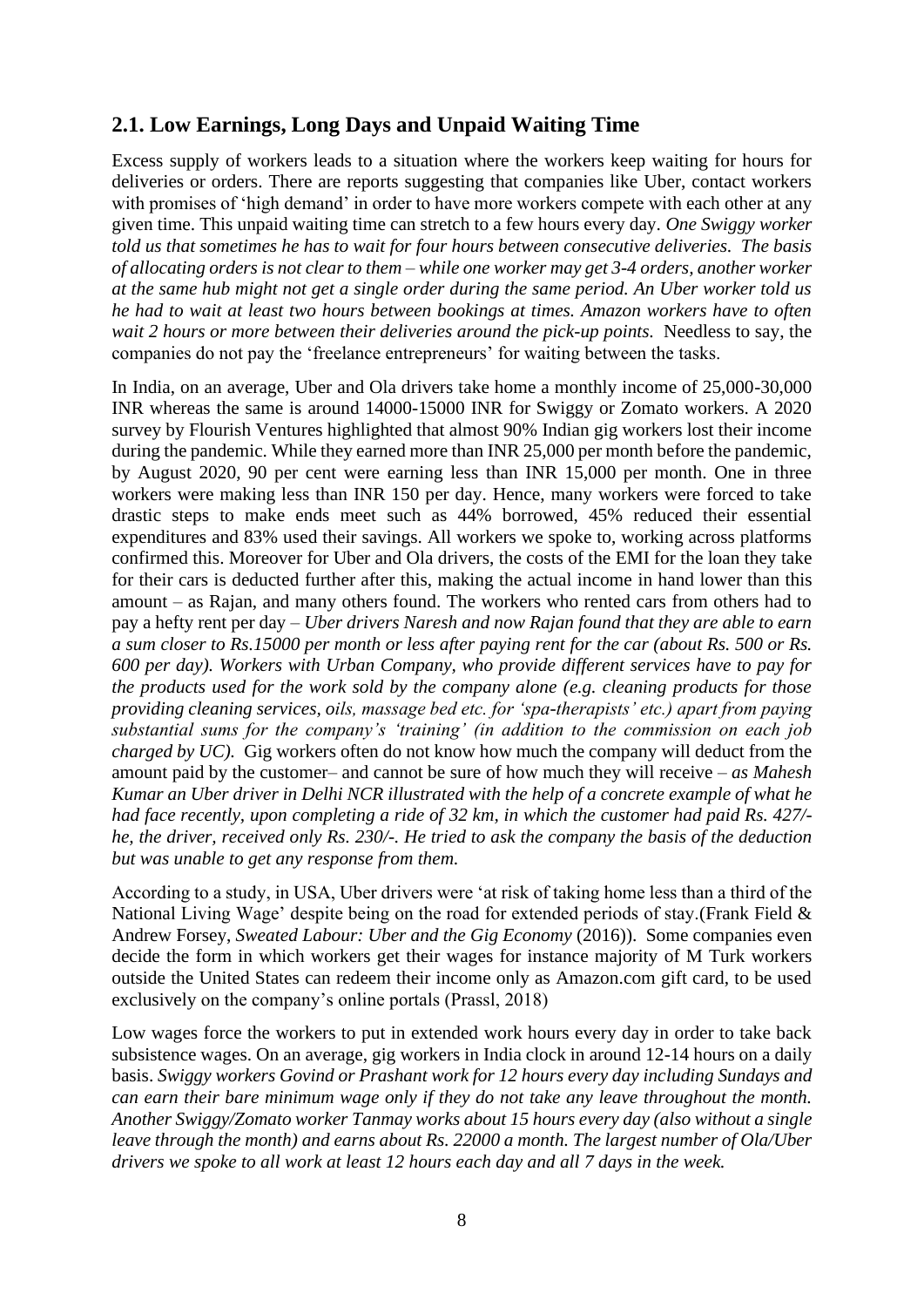## **2.1. Low Earnings, Long Days and Unpaid Waiting Time**

Excess supply of workers leads to a situation where the workers keep waiting for hours for deliveries or orders. There are reports suggesting that companies like Uber, contact workers with promises of 'high demand' in order to have more workers compete with each other at any given time. This unpaid waiting time can stretch to a few hours every day. *One Swiggy worker told us that sometimes he has to wait for four hours between consecutive deliveries. The basis of allocating orders is not clear to them – while one worker may get 3-4 orders, another worker at the same hub might not get a single order during the same period. An Uber worker told us he had to wait at least two hours between bookings at times. Amazon workers have to often wait 2 hours or more between their deliveries around the pick-up points.* Needless to say, the companies do not pay the 'freelance entrepreneurs' for waiting between the tasks.

In India, on an average, Uber and Ola drivers take home a monthly income of 25,000-30,000 INR whereas the same is around 14000-15000 INR for Swiggy or Zomato workers. A 2020 survey by Flourish Ventures highlighted that almost 90% Indian gig workers lost their income during the pandemic. While they earned more than INR 25,000 per month before the pandemic, by August 2020, 90 per cent were earning less than INR 15,000 per month. One in three workers were making less than INR 150 per day. Hence, many workers were forced to take drastic steps to make ends meet such as 44% borrowed, 45% reduced their essential expenditures and 83% used their savings. All workers we spoke to, working across platforms confirmed this. Moreover for Uber and Ola drivers, the costs of the EMI for the loan they take for their cars is deducted further after this, making the actual income in hand lower than this amount – as Rajan, and many others found. The workers who rented cars from others had to pay a hefty rent per day – *Uber drivers Naresh and now Rajan found that they are able to earn a sum closer to Rs.15000 per month or less after paying rent for the car (about Rs. 500 or Rs. 600 per day). Workers with Urban Company, who provide different services have to pay for the products used for the work sold by the company alone (e.g. cleaning products for those providing cleaning services, oils, massage bed etc. for 'spa-therapists' etc.) apart from paying substantial sums for the company's 'training' (in addition to the commission on each job charged by UC).* Gig workers often do not know how much the company will deduct from the amount paid by the customer– and cannot be sure of how much they will receive – *as Mahesh Kumar an Uber driver in Delhi NCR illustrated with the help of a concrete example of what he had face recently, upon completing a ride of 32 km, in which the customer had paid Rs. 427/ he, the driver, received only Rs. 230/-. He tried to ask the company the basis of the deduction but was unable to get any response from them.* 

According to a study, in USA, Uber drivers were 'at risk of taking home less than a third of the National Living Wage' despite being on the road for extended periods of stay.(Frank Field & Andrew Forsey, *Sweated Labour: Uber and the Gig Economy* (2016)). Some companies even decide the form in which workers get their wages for instance majority of M Turk workers outside the United States can redeem their income only as Amazon.com gift card, to be used exclusively on the company's online portals (Prassl, 2018)

Low wages force the workers to put in extended work hours every day in order to take back subsistence wages. On an average, gig workers in India clock in around 12-14 hours on a daily basis. *Swiggy workers Govind or Prashant work for 12 hours every day including Sundays and can earn their bare minimum wage only if they do not take any leave throughout the month. Another Swiggy/Zomato worker Tanmay works about 15 hours every day (also without a single leave through the month) and earns about Rs. 22000 a month. The largest number of Ola/Uber drivers we spoke to all work at least 12 hours each day and all 7 days in the week.*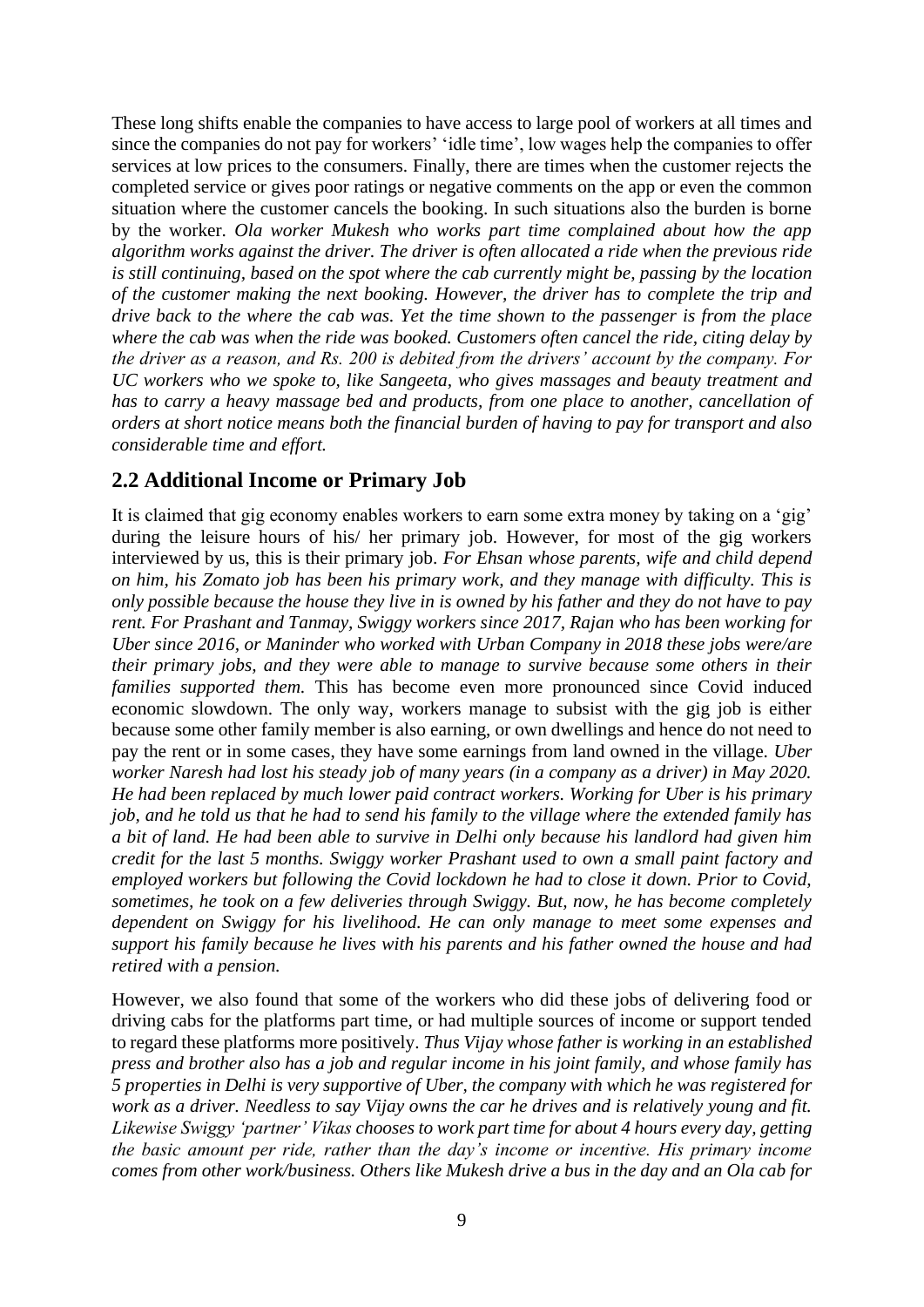These long shifts enable the companies to have access to large pool of workers at all times and since the companies do not pay for workers' 'idle time', low wages help the companies to offer services at low prices to the consumers. Finally, there are times when the customer rejects the completed service or gives poor ratings or negative comments on the app or even the common situation where the customer cancels the booking. In such situations also the burden is borne by the worker. *Ola worker Mukesh who works part time complained about how the app algorithm works against the driver. The driver is often allocated a ride when the previous ride is still continuing, based on the spot where the cab currently might be, passing by the location of the customer making the next booking. However, the driver has to complete the trip and drive back to the where the cab was. Yet the time shown to the passenger is from the place where the cab was when the ride was booked. Customers often cancel the ride, citing delay by the driver as a reason, and Rs. 200 is debited from the drivers' account by the company. For UC workers who we spoke to, like Sangeeta, who gives massages and beauty treatment and has to carry a heavy massage bed and products, from one place to another, cancellation of orders at short notice means both the financial burden of having to pay for transport and also considerable time and effort.* 

#### **2.2 Additional Income or Primary Job**

It is claimed that gig economy enables workers to earn some extra money by taking on a 'gig' during the leisure hours of his/ her primary job. However, for most of the gig workers interviewed by us, this is their primary job. *For Ehsan whose parents, wife and child depend on him, his Zomato job has been his primary work, and they manage with difficulty. This is only possible because the house they live in is owned by his father and they do not have to pay rent. For Prashant and Tanmay, Swiggy workers since 2017, Rajan who has been working for Uber since 2016, or Maninder who worked with Urban Company in 2018 these jobs were/are their primary jobs, and they were able to manage to survive because some others in their families supported them.* This has become even more pronounced since Covid induced economic slowdown. The only way, workers manage to subsist with the gig job is either because some other family member is also earning, or own dwellings and hence do not need to pay the rent or in some cases, they have some earnings from land owned in the village. *Uber worker Naresh had lost his steady job of many years (in a company as a driver) in May 2020. He had been replaced by much lower paid contract workers. Working for Uber is his primary job, and he told us that he had to send his family to the village where the extended family has a bit of land. He had been able to survive in Delhi only because his landlord had given him credit for the last 5 months. Swiggy worker Prashant used to own a small paint factory and employed workers but following the Covid lockdown he had to close it down. Prior to Covid, sometimes, he took on a few deliveries through Swiggy. But, now, he has become completely dependent on Swiggy for his livelihood. He can only manage to meet some expenses and support his family because he lives with his parents and his father owned the house and had retired with a pension.* 

However, we also found that some of the workers who did these jobs of delivering food or driving cabs for the platforms part time, or had multiple sources of income or support tended to regard these platforms more positively. *Thus Vijay whose father is working in an established press and brother also has a job and regular income in his joint family, and whose family has 5 properties in Delhi is very supportive of Uber, the company with which he was registered for work as a driver. Needless to say Vijay owns the car he drives and is relatively young and fit. Likewise Swiggy 'partner' Vikas chooses to work part time for about 4 hours every day, getting the basic amount per ride, rather than the day's income or incentive. His primary income comes from other work/business. Others like Mukesh drive a bus in the day and an Ola cab for*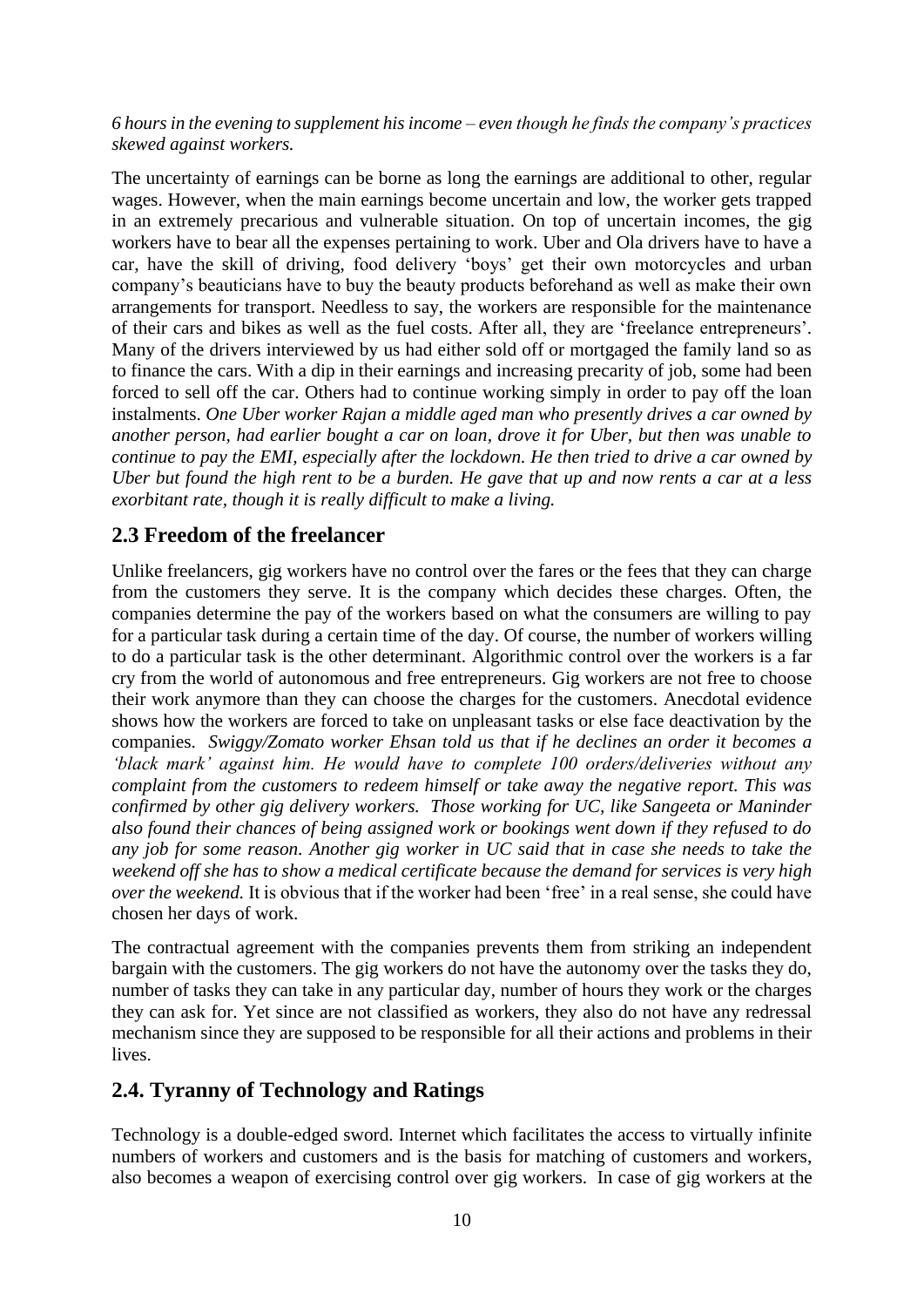#### *6 hours in the evening to supplement his income – even though he finds the company's practices skewed against workers.*

The uncertainty of earnings can be borne as long the earnings are additional to other, regular wages. However, when the main earnings become uncertain and low, the worker gets trapped in an extremely precarious and vulnerable situation. On top of uncertain incomes, the gig workers have to bear all the expenses pertaining to work. Uber and Ola drivers have to have a car, have the skill of driving, food delivery 'boys' get their own motorcycles and urban company's beauticians have to buy the beauty products beforehand as well as make their own arrangements for transport. Needless to say, the workers are responsible for the maintenance of their cars and bikes as well as the fuel costs. After all, they are 'freelance entrepreneurs'. Many of the drivers interviewed by us had either sold off or mortgaged the family land so as to finance the cars. With a dip in their earnings and increasing precarity of job, some had been forced to sell off the car. Others had to continue working simply in order to pay off the loan instalments. *One Uber worker Rajan a middle aged man who presently drives a car owned by another person, had earlier bought a car on loan, drove it for Uber, but then was unable to continue to pay the EMI, especially after the lockdown. He then tried to drive a car owned by Uber but found the high rent to be a burden. He gave that up and now rents a car at a less exorbitant rate, though it is really difficult to make a living.*

#### **2.3 Freedom of the freelancer**

Unlike freelancers, gig workers have no control over the fares or the fees that they can charge from the customers they serve. It is the company which decides these charges. Often, the companies determine the pay of the workers based on what the consumers are willing to pay for a particular task during a certain time of the day. Of course, the number of workers willing to do a particular task is the other determinant. Algorithmic control over the workers is a far cry from the world of autonomous and free entrepreneurs. Gig workers are not free to choose their work anymore than they can choose the charges for the customers. Anecdotal evidence shows how the workers are forced to take on unpleasant tasks or else face deactivation by the companies. *Swiggy/Zomato worker Ehsan told us that if he declines an order it becomes a 'black mark' against him. He would have to complete 100 orders/deliveries without any complaint from the customers to redeem himself or take away the negative report. This was confirmed by other gig delivery workers. Those working for UC, like Sangeeta or Maninder also found their chances of being assigned work or bookings went down if they refused to do any job for some reason. Another gig worker in UC said that in case she needs to take the weekend off she has to show a medical certificate because the demand for services is very high over the weekend.* It is obvious that if the worker had been 'free' in a real sense, she could have chosen her days of work.

The contractual agreement with the companies prevents them from striking an independent bargain with the customers. The gig workers do not have the autonomy over the tasks they do, number of tasks they can take in any particular day, number of hours they work or the charges they can ask for. Yet since are not classified as workers, they also do not have any redressal mechanism since they are supposed to be responsible for all their actions and problems in their lives.

#### **2.4. Tyranny of Technology and Ratings**

Technology is a double-edged sword. Internet which facilitates the access to virtually infinite numbers of workers and customers and is the basis for matching of customers and workers, also becomes a weapon of exercising control over gig workers. In case of gig workers at the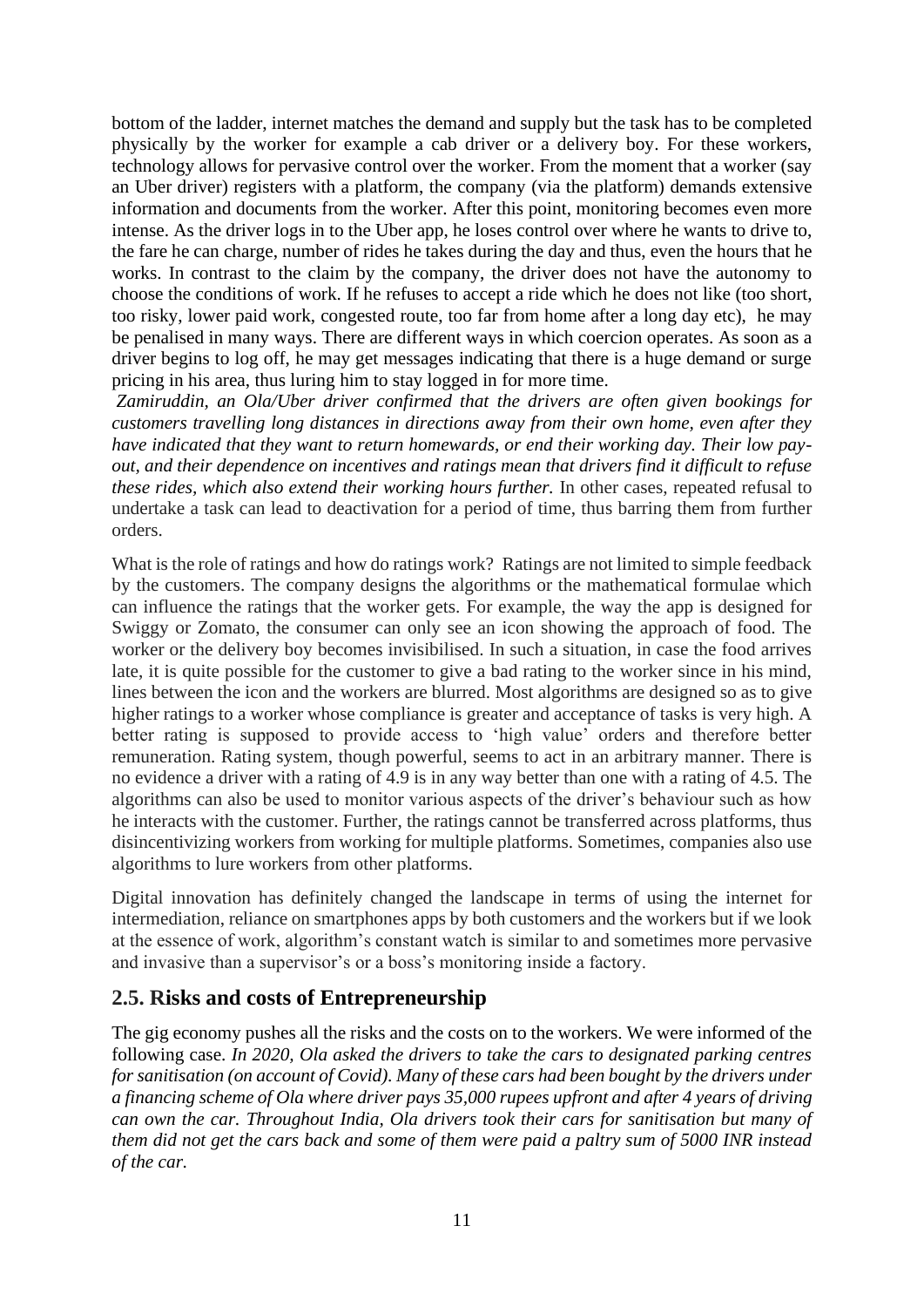bottom of the ladder, internet matches the demand and supply but the task has to be completed physically by the worker for example a cab driver or a delivery boy. For these workers, technology allows for pervasive control over the worker. From the moment that a worker (say an Uber driver) registers with a platform, the company (via the platform) demands extensive information and documents from the worker. After this point, monitoring becomes even more intense. As the driver logs in to the Uber app, he loses control over where he wants to drive to, the fare he can charge, number of rides he takes during the day and thus, even the hours that he works. In contrast to the claim by the company, the driver does not have the autonomy to choose the conditions of work. If he refuses to accept a ride which he does not like (too short, too risky, lower paid work, congested route, too far from home after a long day etc), he may be penalised in many ways. There are different ways in which coercion operates. As soon as a driver begins to log off, he may get messages indicating that there is a huge demand or surge pricing in his area, thus luring him to stay logged in for more time.

*Zamiruddin, an Ola/Uber driver confirmed that the drivers are often given bookings for customers travelling long distances in directions away from their own home, even after they have indicated that they want to return homewards, or end their working day. Their low payout, and their dependence on incentives and ratings mean that drivers find it difficult to refuse these rides, which also extend their working hours further.* In other cases, repeated refusal to undertake a task can lead to deactivation for a period of time, thus barring them from further orders.

What is the role of ratings and how do ratings work? Ratings are not limited to simple feedback by the customers. The company designs the algorithms or the mathematical formulae which can influence the ratings that the worker gets. For example, the way the app is designed for Swiggy or Zomato, the consumer can only see an icon showing the approach of food. The worker or the delivery boy becomes invisibilised. In such a situation, in case the food arrives late, it is quite possible for the customer to give a bad rating to the worker since in his mind, lines between the icon and the workers are blurred. Most algorithms are designed so as to give higher ratings to a worker whose compliance is greater and acceptance of tasks is very high. A better rating is supposed to provide access to 'high value' orders and therefore better remuneration. Rating system, though powerful, seems to act in an arbitrary manner. There is no evidence a driver with a rating of 4.9 is in any way better than one with a rating of 4.5. The algorithms can also be used to monitor various aspects of the driver's behaviour such as how he interacts with the customer. Further, the ratings cannot be transferred across platforms, thus disincentivizing workers from working for multiple platforms. Sometimes, companies also use algorithms to lure workers from other platforms.

Digital innovation has definitely changed the landscape in terms of using the internet for intermediation, reliance on smartphones apps by both customers and the workers but if we look at the essence of work, algorithm's constant watch is similar to and sometimes more pervasive and invasive than a supervisor's or a boss's monitoring inside a factory.

#### **2.5. Risks and costs of Entrepreneurship**

The gig economy pushes all the risks and the costs on to the workers. We were informed of the following case. *In 2020, Ola asked the drivers to take the cars to designated parking centres for sanitisation (on account of Covid). Many of these cars had been bought by the drivers under a financing scheme of Ola where driver pays 35,000 rupees upfront and after 4 years of driving can own the car. Throughout India, Ola drivers took their cars for sanitisation but many of them did not get the cars back and some of them were paid a paltry sum of 5000 INR instead of the car.*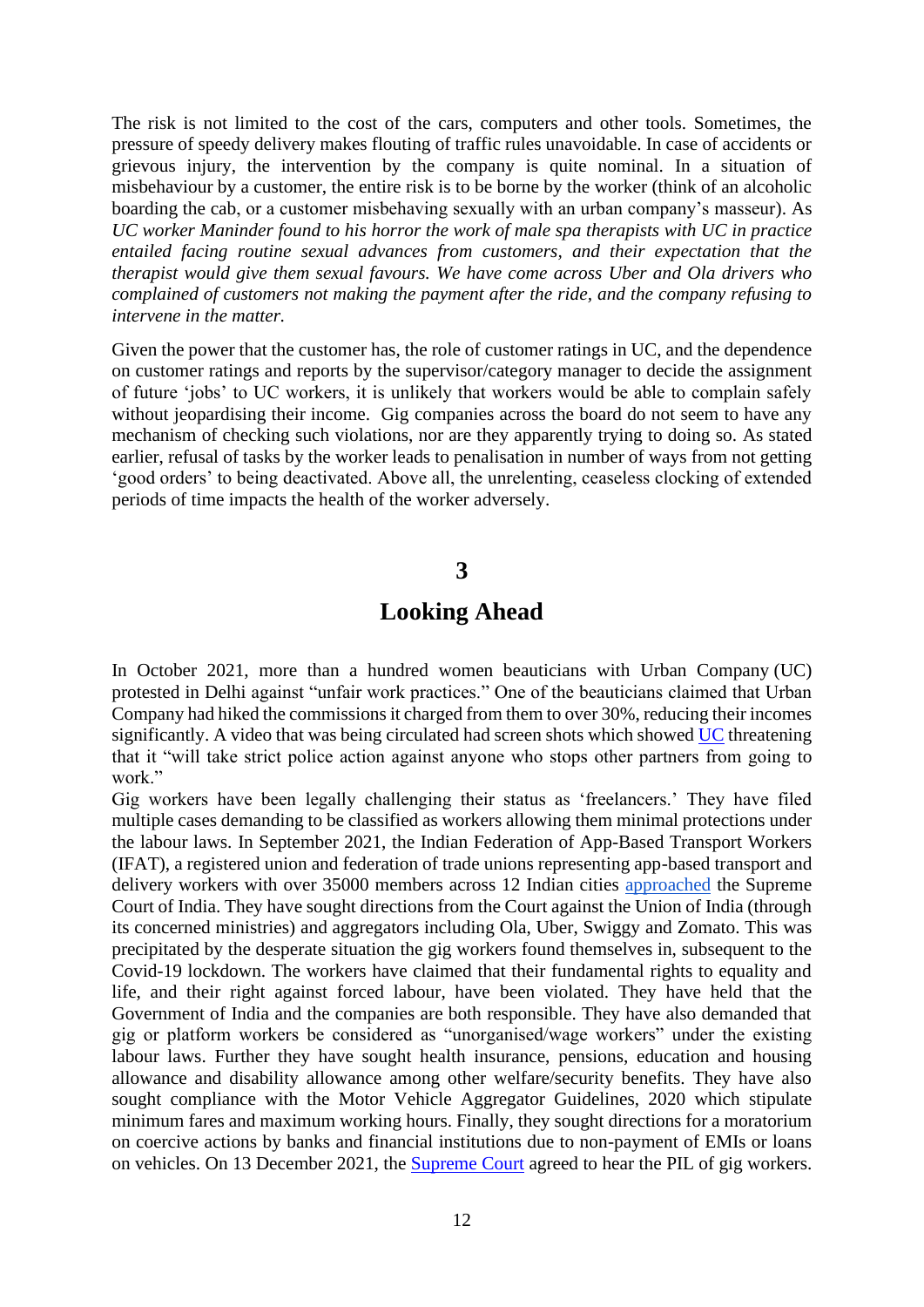The risk is not limited to the cost of the cars, computers and other tools. Sometimes, the pressure of speedy delivery makes flouting of traffic rules unavoidable. In case of accidents or grievous injury, the intervention by the company is quite nominal. In a situation of misbehaviour by a customer, the entire risk is to be borne by the worker (think of an alcoholic boarding the cab, or a customer misbehaving sexually with an urban company's masseur). As *UC worker Maninder found to his horror the work of male spa therapists with UC in practice entailed facing routine sexual advances from customers, and their expectation that the therapist would give them sexual favours. We have come across Uber and Ola drivers who complained of customers not making the payment after the ride, and the company refusing to intervene in the matter.*

Given the power that the customer has, the role of customer ratings in UC, and the dependence on customer ratings and reports by the supervisor/category manager to decide the assignment of future 'jobs' to UC workers, it is unlikely that workers would be able to complain safely without jeopardising their income. Gig companies across the board do not seem to have any mechanism of checking such violations, nor are they apparently trying to doing so. As stated earlier, refusal of tasks by the worker leads to penalisation in number of ways from not getting 'good orders' to being deactivated. Above all, the unrelenting, ceaseless clocking of extended periods of time impacts the health of the worker adversely.

#### **3**

### **Looking Ahead**

In October 2021, more than a hundred women beauticians with [Urban Company](https://economictimes.indiatimes.com/topic/Urban-Company) (UC) protested in Delhi against "unfair work practices." One of the beauticians claimed that Urban Company had hiked the commissions it charged from them to over 30%, reducing their incomes significantly. A video that was being circulated had screen shots which showed [UC](https://economictimes.indiatimes.com/tech/startups/urban-company-hit-by-protests-promises-to-enhance-partners-earnings/articleshow/86925941.cms) threatening that it "will take strict police action against anyone who stops other partners from going to work."

Gig workers have been legally challenging their status as 'freelancers.' They have filed multiple cases demanding to be classified as workers allowing them minimal protections under the labour laws. In September 2021, the Indian Federation of App-Based Transport Workers (IFAT), a registered union and federation of trade unions representing app-based transport and delivery workers with over 35000 members across 12 Indian cities [approached](https://www.livelaw.in/top-stories/gig-workers-approach-supreme-court-for-social-security-zomato-ola-uber-swiggy-182107) the Supreme Court of India. They have sought directions from the Court against the Union of India (through its concerned ministries) and aggregators including Ola, Uber, Swiggy and Zomato. This was precipitated by the desperate situation the gig workers found themselves in, subsequent to the Covid-19 lockdown. The workers have claimed that their fundamental rights to equality and life, and their right against forced labour, have been violated. They have held that the Government of India and the companies are both responsible. They have also demanded that gig or platform workers be considered as "unorganised/wage workers" under the existing labour laws. Further they have sought health insurance, pensions, education and housing allowance and disability allowance among other welfare/security benefits. They have also sought compliance with the Motor Vehicle Aggregator Guidelines, 2020 which stipulate minimum fares and maximum working hours. Finally, they sought directions for a moratorium on coercive actions by banks and financial institutions due to non-payment of EMIs or loans on vehicles. On 13 December 2021, the [Supreme Court](https://www.theleaflet.in/sc-agrees-to-hear-pil-seeking-social-security-benefits-to-gig-workers/) agreed to hear the PIL of gig workers.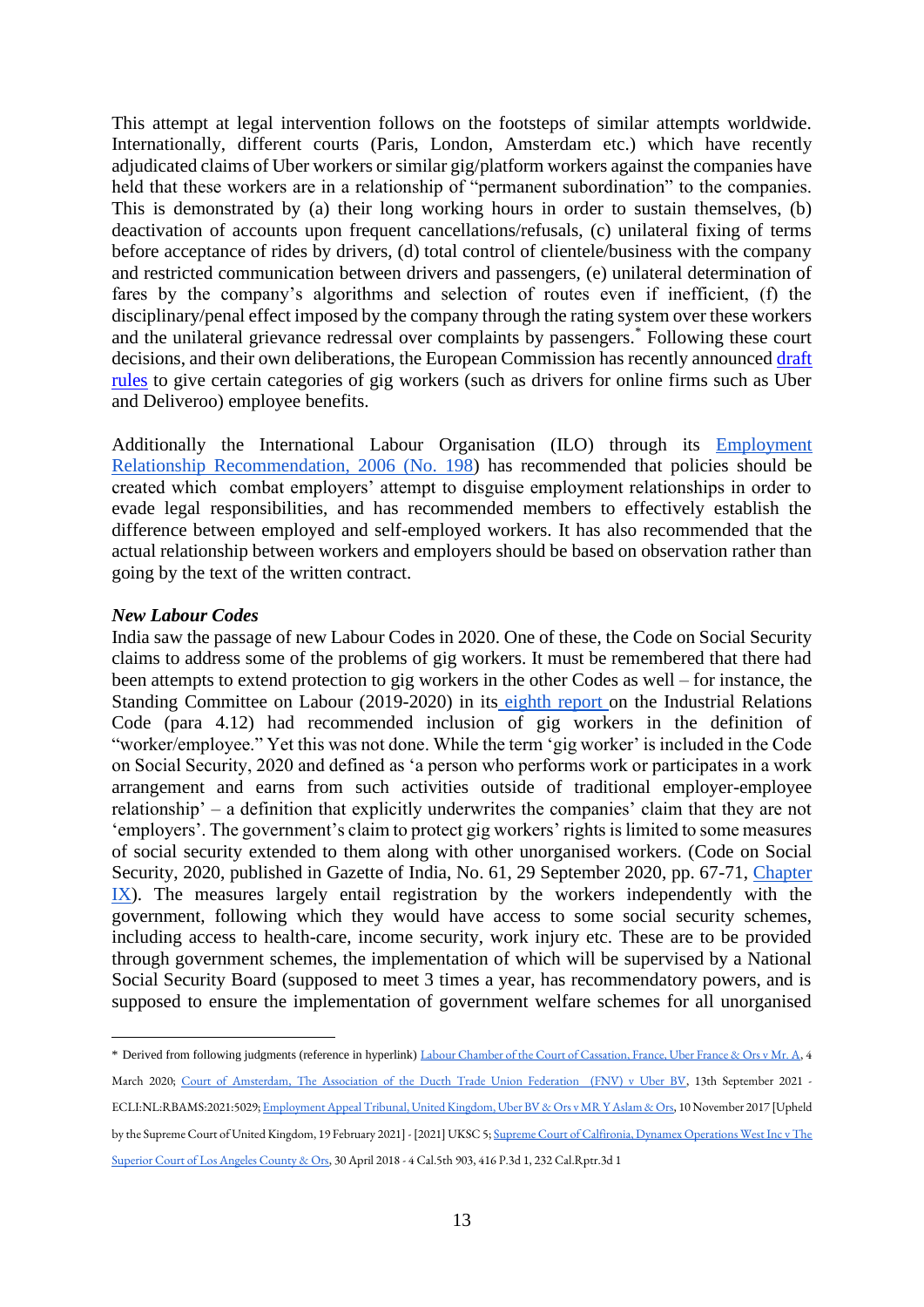This attempt at legal intervention follows on the footsteps of similar attempts worldwide. Internationally, different courts (Paris, London, Amsterdam etc.) which have recently adjudicated claims of Uber workers or similar gig/platform workers against the companies have held that these workers are in a relationship of "permanent subordination" to the companies. This is demonstrated by (a) their long working hours in order to sustain themselves, (b) deactivation of accounts upon frequent cancellations/refusals, (c) unilateral fixing of terms before acceptance of rides by drivers, (d) total control of clientele/business with the company and restricted communication between drivers and passengers, (e) unilateral determination of fares by the company's algorithms and selection of routes even if inefficient, (f) the disciplinary/penal effect imposed by the company through the rating system over these workers and the unilateral grievance redressal over complaints by passengers.\* Following these court decisions, and their own deliberations, the European Commission has recently announced draft [rules](https://www.reuters.com/technology/eu-draft-rules-gig-workers-target-uber-deliveroo-online-platforms-2021-12-09/) to give certain categories of gig workers (such as drivers for online firms such as Uber and Deliveroo) employee benefits.

Additionally the International Labour Organisation (ILO) through its [Employment](https://www.ilo.org/dyn/normlex/en/f?p=NORMLEXPUB:12100:0::NO::P12100_INSTRUMENT_ID:312535)  [Relationship Recommendation, 2006 \(No. 198\)](https://www.ilo.org/dyn/normlex/en/f?p=NORMLEXPUB:12100:0::NO::P12100_INSTRUMENT_ID:312535) has recommended that policies should be created which combat employers' attempt to disguise employment relationships in order to evade legal responsibilities, and has recommended members to effectively establish the difference between employed and self-employed workers. It has also recommended that the actual relationship between workers and employers should be based on observation rather than going by the text of the written contract.

#### *New Labour Codes*

India saw the passage of new Labour Codes in 2020. One of these, the Code on Social Security claims to address some of the problems of gig workers. It must be remembered that there had been attempts to extend protection to gig workers in the other Codes as well – for instance, the Standing Committee on Labour (2019-2020) in its [eighth report o](http://164.100.47.193/lsscommittee/Labour,%20Textiles%20and%20Skill%20Development/17_Labour_8.pdf)n the Industrial Relations Code (para 4.12) had recommended inclusion of gig workers in the definition of "worker/employee." Yet this was not done. While the term 'gig worker' is included in the Code on Social Security, 2020 and defined as 'a person who performs work or participates in a work arrangement and earns from such activities outside of traditional employer-employee relationship' – a definition that explicitly underwrites the companies' claim that they are not 'employers'. The government's claim to protect gig workers' rights is limited to some measures of social security extended to them along with other unorganised workers. (Code on Social Security, 2020, published in Gazette of India, No. 61, 29 September 2020, pp. 67-71, [Chapter](https://labour.gov.in/sites/default/files/SS_Code_Gazette.pdf)  [IX\)](https://labour.gov.in/sites/default/files/SS_Code_Gazette.pdf). The measures largely entail registration by the workers independently with the government, following which they would have access to some social security schemes, including access to health-care, income security, work injury etc. These are to be provided through government schemes, the implementation of which will be supervised by a National Social Security Board (supposed to meet 3 times a year, has recommendatory powers, and is supposed to ensure the implementation of government welfare schemes for all unorganised

<sup>\*</sup> Derived from following judgments (reference in hyperlink) [Labour Chamber of the Court of Cassation, France, Uber France & Ors v Mr. A,](http://laforgue-avocats.com/data/documents/20200304_arret_uber_english1.pdf) 4 March 2020; [Court of Amsterdam, The Association of the Ducth Trade Union Federation \(FNV\) v Uber BV,](https://www.fnv.nl/getattachment/c0a68a8d-d241-4c8c-8939-85e6ff5e6d8f/Uber-uitspraak-ENG.pdf?lang=nl-NL) 13th September 2021 - ECLI:NL:RBAMS:2021:5029[; Employment Appeal Tribunal, United Kingdom, Uber BV & Ors v MR Y Aslam & Ors,](https://www.supremecourt.uk/cases/uksc-2019-0029.html) 10 November 2017 [Upheld by the Supreme Court of United Kingdom, 19 February 2021] - [2021] UKSC 5[; Supreme Court of Calfironia, Dynamex Operations West Inc v The](https://law.justia.com/cases/california/supreme-court/2018/s222732.html)  [Superior Court of Los Angeles County & Ors,](https://law.justia.com/cases/california/supreme-court/2018/s222732.html) 30 April 2018 - 4 Cal.5th 903, 416 P.3d 1, 232 Cal.Rptr.3d 1